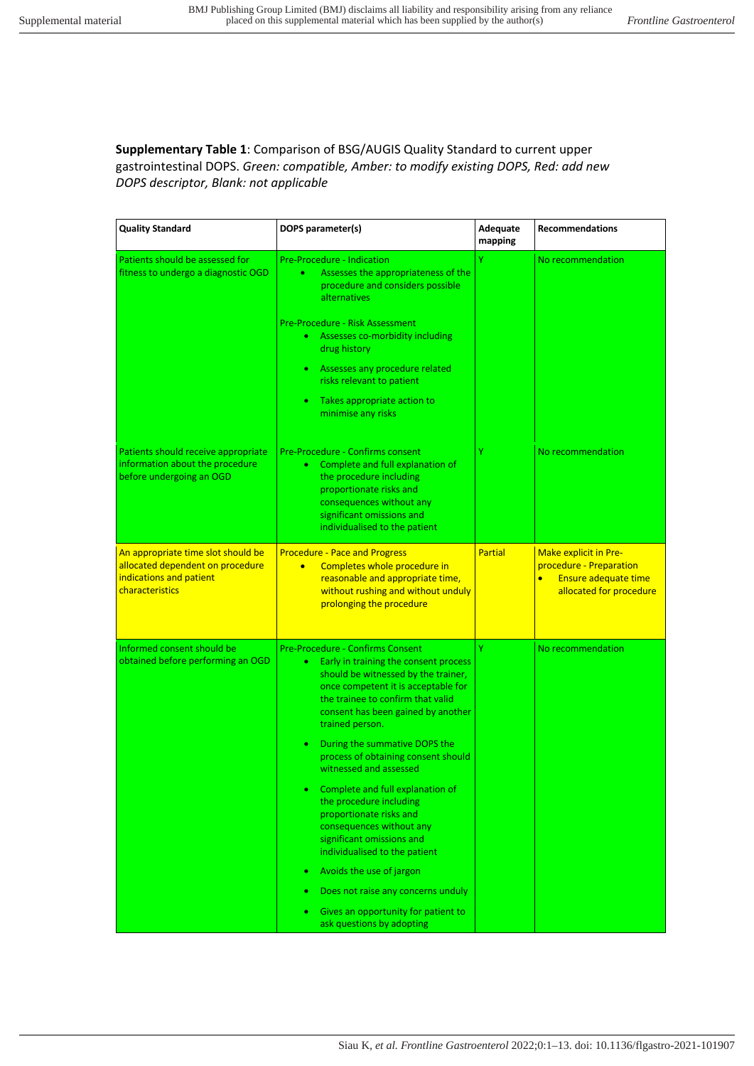**Supplementary Table 1**: Comparison of BSG/AUGIS Quality Standard to current upper gastrointestinal DOPS. *Green: compatible, Amber: to modify existing DOPS, Red: add new DOPS descriptor, Blank: not applicable*

| <b>Quality Standard</b>                                                                                              | DOPS parameter(s)                                                                                                                                                                                                                                                                                                                                                                                                                                                                                                                                                                                                                                                                                                             | Adequate<br>mapping | <b>Recommendations</b>                                                                                                         |
|----------------------------------------------------------------------------------------------------------------------|-------------------------------------------------------------------------------------------------------------------------------------------------------------------------------------------------------------------------------------------------------------------------------------------------------------------------------------------------------------------------------------------------------------------------------------------------------------------------------------------------------------------------------------------------------------------------------------------------------------------------------------------------------------------------------------------------------------------------------|---------------------|--------------------------------------------------------------------------------------------------------------------------------|
| Patients should be assessed for<br>fitness to undergo a diagnostic OGD                                               | <b>Pre-Procedure - Indication</b><br>Assesses the appropriateness of the<br>٠<br>procedure and considers possible<br>alternatives<br><b>Pre-Procedure - Risk Assessment</b><br>Assesses co-morbidity including<br>$\bullet$<br>drug history<br>Assesses any procedure related<br>$\bullet$<br>risks relevant to patient<br>Takes appropriate action to<br>۰<br>minimise any risks                                                                                                                                                                                                                                                                                                                                             | Ÿ                   | No recommendation                                                                                                              |
| Patients should receive appropriate<br>information about the procedure<br>before undergoing an OGD                   | Pre-Procedure - Confirms consent<br>Complete and full explanation of<br>$\bullet$<br>the procedure including<br>proportionate risks and<br>consequences without any<br>significant omissions and<br>individualised to the patient                                                                                                                                                                                                                                                                                                                                                                                                                                                                                             | Ÿ                   | No recommendation                                                                                                              |
| An appropriate time slot should be<br>allocated dependent on procedure<br>indications and patient<br>characteristics | <b>Procedure - Pace and Progress</b><br>Completes whole procedure in<br>$\bullet$<br>reasonable and appropriate time,<br>without rushing and without unduly<br>prolonging the procedure                                                                                                                                                                                                                                                                                                                                                                                                                                                                                                                                       | <b>Partial</b>      | <b>Make explicit in Pre-</b><br>procedure - Preparation<br><b>Ensure adequate time</b><br>$\bullet$<br>allocated for procedure |
| Informed consent should be<br>obtained before performing an OGD                                                      | Pre-Procedure - Confirms Consent<br>Early in training the consent process<br>$\bullet$<br>should be witnessed by the trainer,<br>once competent it is acceptable for<br>the trainee to confirm that valid<br>consent has been gained by another<br>trained person.<br>During the summative DOPS the<br>$\bullet$<br>process of obtaining consent should<br>witnessed and assessed<br>Complete and full explanation of<br>the procedure including<br>proportionate risks and<br>consequences without any<br>significant omissions and<br>individualised to the patient<br>Avoids the use of jargon<br>۰<br>Does not raise any concerns unduly<br>Gives an opportunity for patient to<br>$\bullet$<br>ask questions by adopting | Ÿ                   | No recommendation                                                                                                              |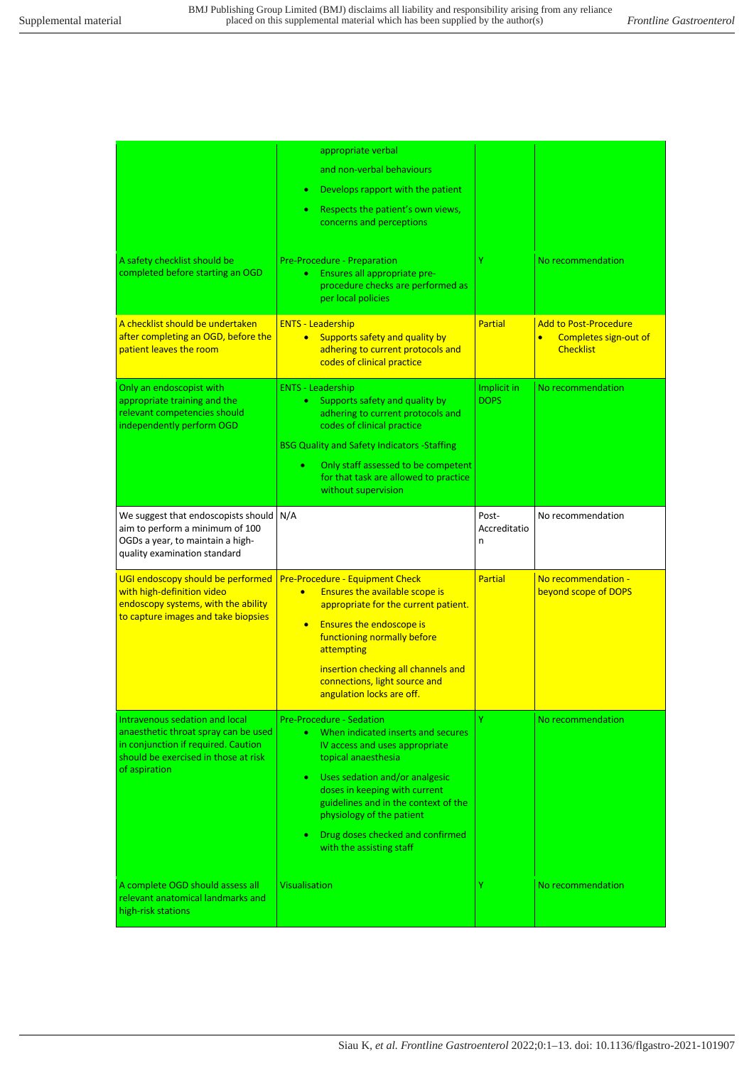| A safety checklist should be<br>completed before starting an OGD<br>A checklist should be undertaken<br>after completing an OGD, before the                            | appropriate verbal<br>and non-verbal behaviours<br>Develops rapport with the patient<br>Respects the patient's own views,<br>concerns and perceptions<br>Pre-Procedure - Preparation<br>Ensures all appropriate pre-<br>$\bullet$<br>procedure checks are performed as<br>per local policies<br><b>ENTS - Leadership</b>                                         | Ÿ<br><b>Partial</b>        | No recommendation<br><b>Add to Post-Procedure</b>      |
|------------------------------------------------------------------------------------------------------------------------------------------------------------------------|------------------------------------------------------------------------------------------------------------------------------------------------------------------------------------------------------------------------------------------------------------------------------------------------------------------------------------------------------------------|----------------------------|--------------------------------------------------------|
| patient leaves the room                                                                                                                                                | Supports safety and quality by<br>$\bullet$<br>adhering to current protocols and<br>codes of clinical practice                                                                                                                                                                                                                                                   |                            | Completes sign-out of<br>$\bullet$<br><b>Checklist</b> |
| Only an endoscopist with<br>appropriate training and the<br>relevant competencies should<br>independently perform OGD                                                  | <b>ENTS - Leadership</b><br>Supports safety and quality by<br>$\bullet$<br>adhering to current protocols and<br>codes of clinical practice<br><b>BSG Quality and Safety Indicators - Staffing</b><br>Only staff assessed to be competent<br>٠<br>for that task are allowed to practice<br>without supervision                                                    | Implicit in<br><b>DOPS</b> | No recommendation                                      |
| We suggest that endoscopists should<br>aim to perform a minimum of 100<br>OGDs a year, to maintain a high-<br>quality examination standard                             | N/A                                                                                                                                                                                                                                                                                                                                                              | Post-<br>Accreditatio<br>n | No recommendation                                      |
| UGI endoscopy should be performed<br>with high-definition video<br>endoscopy systems, with the ability<br>to capture images and take biopsies                          | <b>Pre-Procedure - Equipment Check</b><br><b>Ensures the available scope is</b><br>$\bullet$<br>appropriate for the current patient.<br><b>Ensures the endoscope is</b><br>$\bullet$<br>functioning normally before<br>attempting<br>insertion checking all channels and<br>connections, light source and<br>angulation locks are off.                           | <b>Partial</b>             | No recommendation -<br>beyond scope of DOPS            |
| Intravenous sedation and local<br>anaesthetic throat spray can be used<br>in conjunction if required. Caution<br>should be exercised in those at risk<br>of aspiration | <b>Pre-Procedure - Sedation</b><br>When indicated inserts and secures<br>IV access and uses appropriate<br>topical anaesthesia<br>Uses sedation and/or analgesic<br>$\bullet$<br>doses in keeping with current<br>guidelines and in the context of the<br>physiology of the patient<br>Drug doses checked and confirmed<br>$\bullet$<br>with the assisting staff | Ÿ                          | No recommendation                                      |
| A complete OGD should assess all<br>relevant anatomical landmarks and<br>high-risk stations                                                                            | <b>Visualisation</b>                                                                                                                                                                                                                                                                                                                                             | Y                          | No recommendation                                      |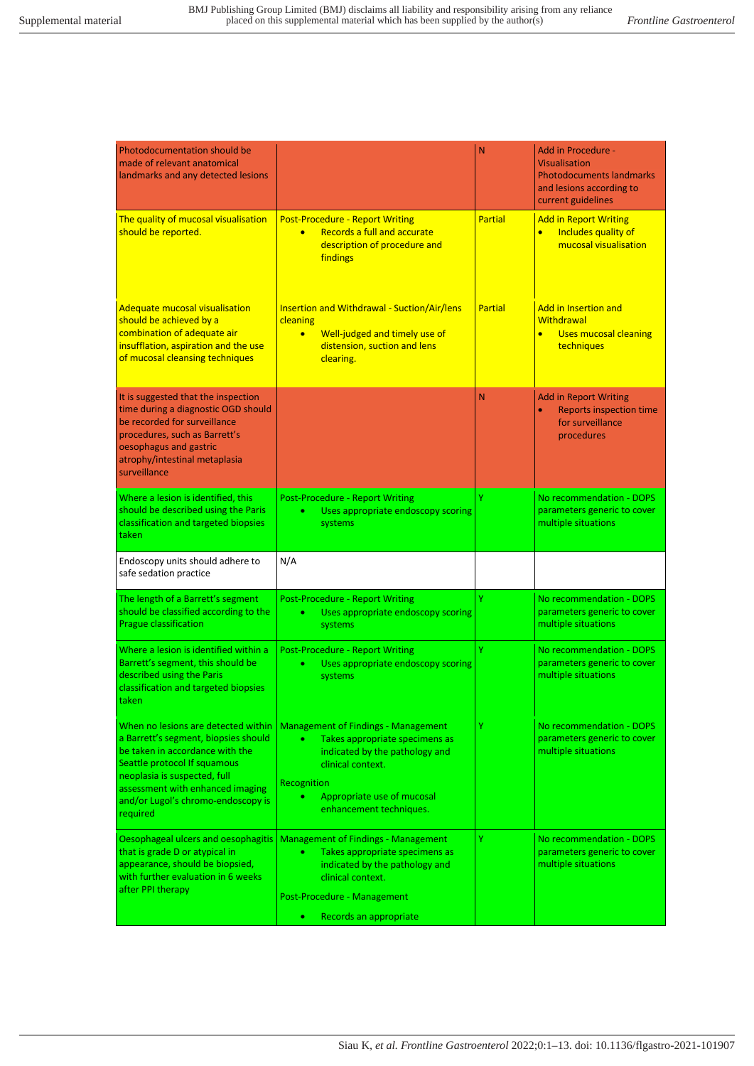| <b>Photodocumentation should be</b><br>made of relevant anatomical<br>landmarks and any detected lesions                                                                                                               |                                                                                                                                                                                 | N       | <b>Add in Procedure -</b><br><b>Visualisation</b><br><b>Photodocuments landmarks</b><br>and lesions according to<br>current guidelines |
|------------------------------------------------------------------------------------------------------------------------------------------------------------------------------------------------------------------------|---------------------------------------------------------------------------------------------------------------------------------------------------------------------------------|---------|----------------------------------------------------------------------------------------------------------------------------------------|
| The quality of mucosal visualisation<br>should be reported.                                                                                                                                                            | <b>Post-Procedure - Report Writing</b><br>Records a full and accurate<br>$\bullet$<br>description of procedure and<br>findings                                                  | Partial | <b>Add in Report Writing</b><br>Includes quality of<br>$\bullet$<br>mucosal visualisation                                              |
| <b>Adequate mucosal visualisation</b><br>should be achieved by a<br>combination of adequate air<br>insufflation, aspiration and the use<br>of mucosal cleansing techniques                                             | <b>Insertion and Withdrawal - Suction/Air/lens</b><br>cleaning<br>Well-judged and timely use of<br>$\bullet$<br>distension, suction and lens<br>clearing.                       | Partial | <b>Add in Insertion and</b><br><b>Withdrawal</b><br><b>Uses mucosal cleaning</b><br>techniques                                         |
| It is suggested that the inspection<br>time during a diagnostic OGD should<br>be recorded for surveillance<br>procedures, such as Barrett's<br>oesophagus and gastric<br>atrophy/intestinal metaplasia<br>surveillance |                                                                                                                                                                                 | N       | <b>Add in Report Writing</b><br><b>Reports inspection time</b><br>for surveillance<br>procedures                                       |
| Where a lesion is identified, this<br>should be described using the Paris<br>classification and targeted biopsies<br>taken                                                                                             | <b>Post-Procedure - Report Writing</b><br>Uses appropriate endoscopy scoring<br>٠<br>systems                                                                                    | Ÿ       | No recommendation - DOPS<br>parameters generic to cover<br>multiple situations                                                         |
| Endoscopy units should adhere to<br>safe sedation practice                                                                                                                                                             | N/A                                                                                                                                                                             |         |                                                                                                                                        |
| The length of a Barrett's segment<br>should be classified according to the<br>Prague classification                                                                                                                    | <b>Post-Procedure - Report Writing</b><br>Uses appropriate endoscopy scoring<br>٠<br>systems                                                                                    | Ÿ       | No recommendation - DOPS<br>parameters generic to cover<br>multiple situations                                                         |
| Where a lesion is identified within a<br>Barrett's segment, this should be<br>described using the Paris<br>classification and targeted biopsies<br>taken                                                               | <b>Post-Procedure - Report Writing</b><br>Uses appropriate endoscopy scoring<br>٠<br>systems                                                                                    | Y       | No recommendation - DOPS<br>parameters generic to cover<br>multiple situations                                                         |
| When no lesions are detected within<br>a Barrett's segment, biopsies should<br>be taken in accordance with the<br>Seattle protocol If squamous<br>neoplasia is suspected, full                                         | <b>Management of Findings - Management</b><br>Takes appropriate specimens as<br>٠                                                                                               | Y       | No recommendation - DOPS<br>parameters generic to cover                                                                                |
| assessment with enhanced imaging<br>and/or Lugol's chromo-endoscopy is<br>required                                                                                                                                     | indicated by the pathology and<br>clinical context.<br>Recognition<br>Appropriate use of mucosal<br>enhancement techniques.                                                     |         | multiple situations                                                                                                                    |
| Oesophageal ulcers and oesophagitis<br>that is grade D or atypical in<br>appearance, should be biopsied,<br>with further evaluation in 6 weeks<br>after PPI therapy                                                    | <b>Management of Findings - Management</b><br>Takes appropriate specimens as<br>$\bullet$<br>indicated by the pathology and<br>clinical context.<br>Post-Procedure - Management | Υ       | No recommendation - DOPS<br>parameters generic to cover<br>multiple situations                                                         |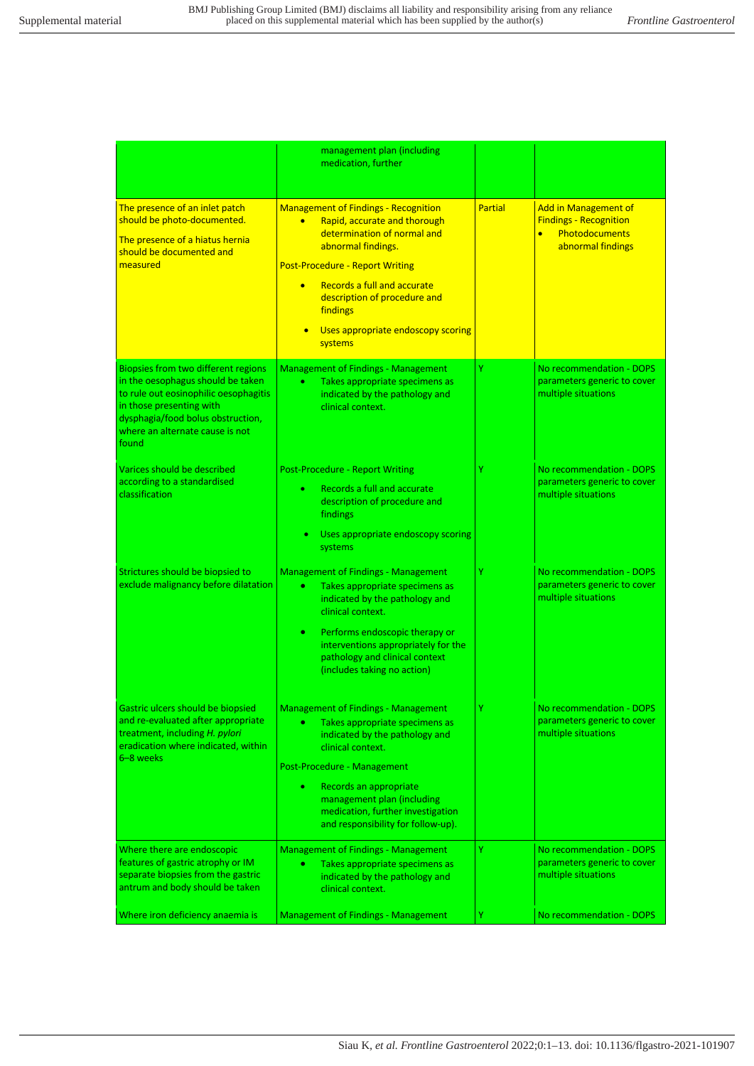|                                                                                                                                                                                                                                | management plan (including<br>medication, further                                                                                                                                                                                                                                                                                |                |                                                                                                                         |
|--------------------------------------------------------------------------------------------------------------------------------------------------------------------------------------------------------------------------------|----------------------------------------------------------------------------------------------------------------------------------------------------------------------------------------------------------------------------------------------------------------------------------------------------------------------------------|----------------|-------------------------------------------------------------------------------------------------------------------------|
| The presence of an inlet patch<br>should be photo-documented.<br>The presence of a hiatus hernia<br>should be documented and<br>measured                                                                                       | <b>Management of Findings - Recognition</b><br>Rapid, accurate and thorough<br>$\bullet$<br>determination of normal and<br>abnormal findings.<br><b>Post-Procedure - Report Writing</b><br>Records a full and accurate<br>$\bullet$<br>description of procedure and<br>findings<br>Uses appropriate endoscopy scoring<br>systems | <b>Partial</b> | <b>Add in Management of</b><br><b>Findings - Recognition</b><br><b>Photodocuments</b><br>$\bullet$<br>abnormal findings |
| Biopsies from two different regions<br>in the oesophagus should be taken<br>to rule out eosinophilic oesophagitis<br>in those presenting with<br>dysphagia/food bolus obstruction,<br>where an alternate cause is not<br>found | <b>Management of Findings - Management</b><br>$\bullet$<br>Takes appropriate specimens as<br>indicated by the pathology and<br>clinical context.                                                                                                                                                                                 | Ÿ              | No recommendation - DOPS<br>parameters generic to cover<br>multiple situations                                          |
| Varices should be described<br>according to a standardised<br>classification                                                                                                                                                   | <b>Post-Procedure - Report Writing</b><br>Records a full and accurate<br>۰<br>description of procedure and<br>findings<br>Uses appropriate endoscopy scoring<br>systems                                                                                                                                                          | Ÿ              | No recommendation - DOPS<br>parameters generic to cover<br>multiple situations                                          |
| Strictures should be biopsied to<br>exclude malignancy before dilatation                                                                                                                                                       | <b>Management of Findings - Management</b><br>$\bullet$<br>Takes appropriate specimens as<br>indicated by the pathology and<br>clinical context.<br>Performs endoscopic therapy or<br>٠<br>interventions appropriately for the<br>pathology and clinical context<br>(includes taking no action)                                  | Ÿ              | No recommendation - DOPS<br>parameters generic to cover<br>multiple situations                                          |
| <u>Gastric ulcers should be biopsied</u><br>and re-evaluated after appropriate<br>treatment, including H. pylori<br>eradication where indicated, within<br>6-8 weeks                                                           | <b>Management of Findings - Management</b><br>٠<br>Takes appropriate specimens as<br>indicated by the pathology and<br>clinical context.<br>Post-Procedure - Management<br>Records an appropriate<br>٠<br>management plan (including<br>medication, further investigation<br>and responsibility for follow-up).                  |                | No recommendation - DUPS<br>parameters generic to cover<br>multiple situations                                          |
| Where there are endoscopic<br>features of gastric atrophy or IM<br>separate biopsies from the gastric<br>antrum and body should be taken                                                                                       | <b>Management of Findings - Management</b><br>٠<br>Takes appropriate specimens as<br>indicated by the pathology and<br>clinical context.                                                                                                                                                                                         | Ÿ              | No recommendation - DOPS<br>parameters generic to cover<br>multiple situations                                          |
| Where iron deficiency anaemia is                                                                                                                                                                                               | <b>Management of Findings - Management</b>                                                                                                                                                                                                                                                                                       | Y              | No recommendation - DOPS                                                                                                |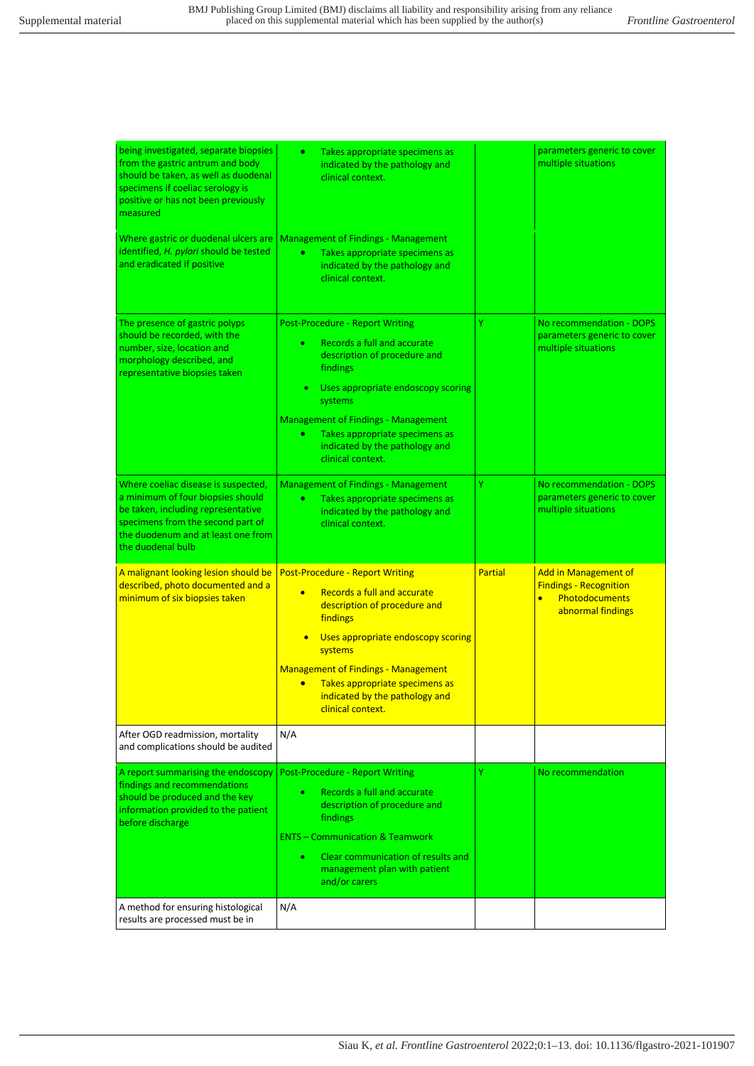| being investigated, separate biopsies<br>from the gastric antrum and body<br>should be taken, as well as duodenal<br>specimens if coeliac serology is<br>positive or has not been previously<br>measured       | $\bullet$<br>Takes appropriate specimens as<br>indicated by the pathology and<br>clinical context.                                                                                                                                                                                                                                  |                | parameters generic to cover<br>multiple situations                                                                      |
|----------------------------------------------------------------------------------------------------------------------------------------------------------------------------------------------------------------|-------------------------------------------------------------------------------------------------------------------------------------------------------------------------------------------------------------------------------------------------------------------------------------------------------------------------------------|----------------|-------------------------------------------------------------------------------------------------------------------------|
| Where gastric or duodenal ulcers are<br>identified, H. pylori should be tested<br>and eradicated if positive                                                                                                   | <b>Management of Findings - Management</b><br>Takes appropriate specimens as<br>۰<br>indicated by the pathology and<br>clinical context.                                                                                                                                                                                            |                |                                                                                                                         |
| The presence of gastric polyps<br>should be recorded, with the<br>number, size, location and<br>morphology described, and<br>representative biopsies taken                                                     | <b>Post-Procedure - Report Writing</b><br>Records a full and accurate<br>٠<br>description of procedure and<br>findings<br>Uses appropriate endoscopy scoring<br>systems<br><b>Management of Findings - Management</b><br>Takes appropriate specimens as<br>٠<br>indicated by the pathology and<br>clinical context.                 | Ÿ              | No recommendation - DOPS<br>parameters generic to cover<br>multiple situations                                          |
| Where coeliac disease is suspected,<br>a minimum of four biopsies should<br>be taken, including representative<br>specimens from the second part of<br>the duodenum and at least one from<br>the duodenal bulb | <b>Management of Findings - Management</b><br>Takes appropriate specimens as<br>$\bullet$<br>indicated by the pathology and<br>clinical context.                                                                                                                                                                                    | Ÿ              | No recommendation - DOPS<br>parameters generic to cover<br>multiple situations                                          |
| A malignant looking lesion should be<br>described, photo documented and a<br>minimum of six biopsies taken                                                                                                     | <b>Post-Procedure - Report Writing</b><br>Records a full and accurate<br>$\bullet$<br>description of procedure and<br>findings<br>Uses appropriate endoscopy scoring<br>systems<br><b>Management of Findings - Management</b><br>Takes appropriate specimens as<br>$\bullet$<br>indicated by the pathology and<br>clinical context. | <b>Partial</b> | <b>Add in Management of</b><br><b>Findings - Recognition</b><br><b>Photodocuments</b><br>$\bullet$<br>abnormal findings |
| After OGD readmission, mortality<br>and complications should be audited                                                                                                                                        | N/A                                                                                                                                                                                                                                                                                                                                 |                |                                                                                                                         |
| A report summarising the endoscopy<br>findings and recommendations<br>should be produced and the key<br>information provided to the patient<br>before discharge                                                | <b>Post-Procedure - Report Writing</b><br>Records a full and accurate<br>description of procedure and<br>findings<br><b>ENTS - Communication &amp; Teamwork</b><br>Clear communication of results and<br>management plan with patient<br>and/or carers                                                                              | Ÿ              | No recommendation                                                                                                       |
| A method for ensuring histological<br>results are processed must be in                                                                                                                                         | N/A                                                                                                                                                                                                                                                                                                                                 |                |                                                                                                                         |